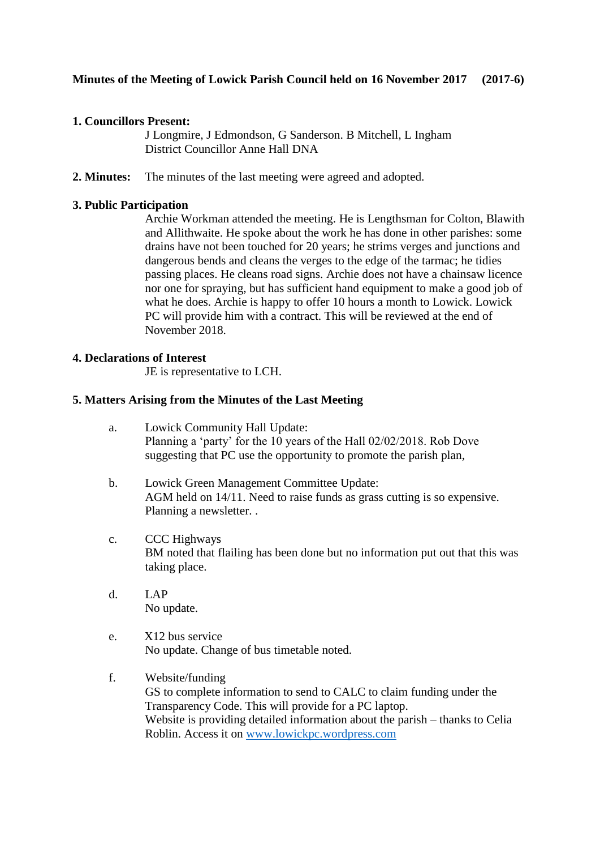## **1. Councillors Present:**

J Longmire, J Edmondson, G Sanderson. B Mitchell, L Ingham District Councillor Anne Hall DNA

**2. Minutes:** The minutes of the last meeting were agreed and adopted.

## **3. Public Participation**

Archie Workman attended the meeting. He is Lengthsman for Colton, Blawith and Allithwaite. He spoke about the work he has done in other parishes: some drains have not been touched for 20 years; he strims verges and junctions and dangerous bends and cleans the verges to the edge of the tarmac; he tidies passing places. He cleans road signs. Archie does not have a chainsaw licence nor one for spraying, but has sufficient hand equipment to make a good job of what he does. Archie is happy to offer 10 hours a month to Lowick. Lowick PC will provide him with a contract. This will be reviewed at the end of November 2018.

### **4. Declarations of Interest**

JE is representative to LCH.

### **5. Matters Arising from the Minutes of the Last Meeting**

- a. Lowick Community Hall Update: Planning a 'party' for the 10 years of the Hall 02/02/2018. Rob Dove suggesting that PC use the opportunity to promote the parish plan,
- b. Lowick Green Management Committee Update: AGM held on 14/11. Need to raise funds as grass cutting is so expensive. Planning a newsletter. .
- c. CCC Highways BM noted that flailing has been done but no information put out that this was taking place.
- d. LAP No update.
- e. X12 bus service No update. Change of bus timetable noted.
- f. Website/funding GS to complete information to send to CALC to claim funding under the Transparency Code. This will provide for a PC laptop. Website is providing detailed information about the parish – thanks to Celia Roblin. Access it on [www.lowickpc.wordpress.com](http://www.lowickpc.wordpress.com/)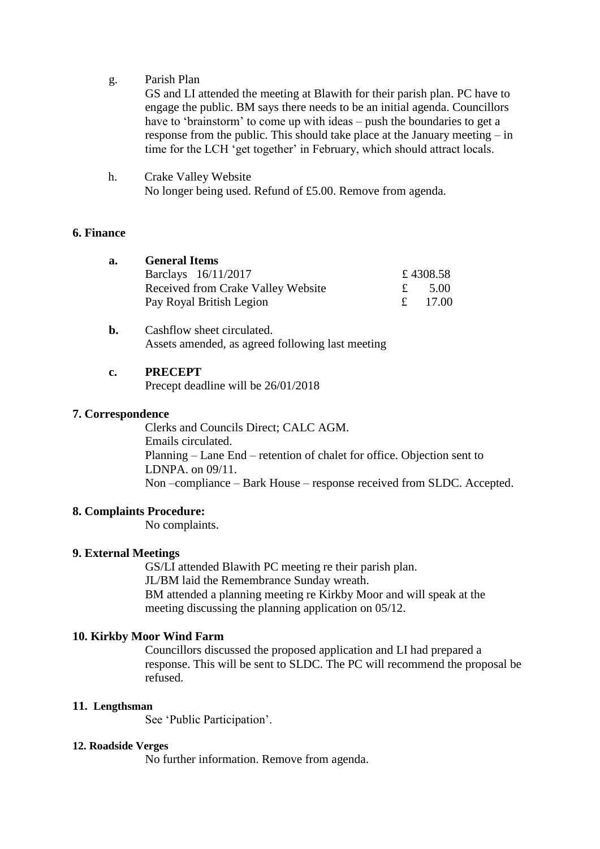g. Parish Plan

GS and LI attended the meeting at Blawith for their parish plan. PC have to engage the public. BM says there needs to be an initial agenda. Councillors have to 'brainstorm' to come up with ideas – push the boundaries to get a response from the public. This should take place at the January meeting – in time for the LCH 'get together' in February, which should attract locals.

h. Crake Valley Website No longer being used. Refund of £5.00. Remove from agenda.

### **6. Finance**

| а. | <b>General Items</b>               |          |
|----|------------------------------------|----------|
|    | Barclays 16/11/2017                | £4308.58 |
|    | Received from Crake Valley Website | 5.00     |
|    | Pay Royal British Legion           | - 17.00  |

**b.** Cashflow sheet circulated. Assets amended, as agreed following last meeting

### **c. PRECEPT**

Precept deadline will be 26/01/2018

### **7. Correspondence**

Clerks and Councils Direct; CALC AGM. Emails circulated. Planning – Lane End – retention of chalet for office. Objection sent to LDNPA. on 09/11. Non –compliance – Bark House – response received from SLDC. Accepted.

## **8. Complaints Procedure:**

No complaints.

## **9. External Meetings**

GS/LI attended Blawith PC meeting re their parish plan. JL/BM laid the Remembrance Sunday wreath. BM attended a planning meeting re Kirkby Moor and will speak at the meeting discussing the planning application on 05/12.

### **10. Kirkby Moor Wind Farm**

Councillors discussed the proposed application and LI had prepared a response. This will be sent to SLDC. The PC will recommend the proposal be refused.

### **11. Lengthsman**

See 'Public Participation'.

### **12. Roadside Verges**

No further information. Remove from agenda.